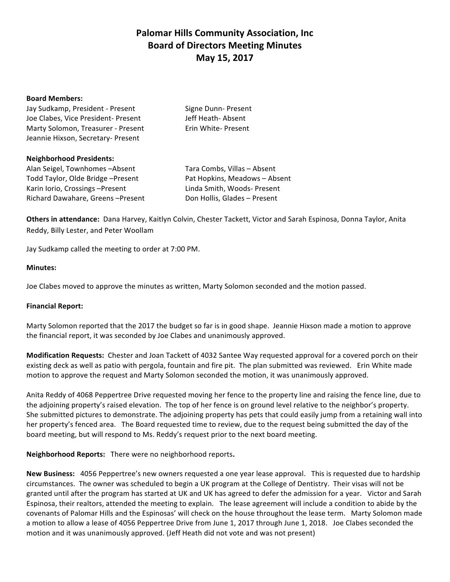# **Palomar Hills Community Association, Inc. Board of Directors Meeting Minutes May 15, 2017**

#### **Board Members:**

Jay Sudkamp, President - Present Signe Dunn- Present Joe Clabes, Vice President- Present Jeff Heath- Absent Marty Solomon, Treasurer - Present Erin White- Present Jeannie Hixson, Secretary- Present

### **Neighborhood Presidents:**

Alan Seigel, Townhomes -Absent Tara Combs, Villas - Absent Todd Taylor, Olde Bridge –Present Pat Hopkins, Meadows – Absent Karin Iorio, Crossings –Present Linda Smith, Woods- Present Richard Dawahare, Greens -Present Don Hollis, Glades - Present

**Others in attendance:** Dana Harvey, Kaitlyn Colvin, Chester Tackett, Victor and Sarah Espinosa, Donna Taylor, Anita Reddy, Billy Lester, and Peter Woollam

Jay Sudkamp called the meeting to order at 7:00 PM.

### **Minutes:**

Joe Clabes moved to approve the minutes as written, Marty Solomon seconded and the motion passed.

# **Financial Report:**

Marty Solomon reported that the 2017 the budget so far is in good shape. Jeannie Hixson made a motion to approve the financial report, it was seconded by Joe Clabes and unanimously approved.

**Modification Requests:** Chester and Joan Tackett of 4032 Santee Way requested approval for a covered porch on their existing deck as well as patio with pergola, fountain and fire pit. The plan submitted was reviewed. Erin White made motion to approve the request and Marty Solomon seconded the motion, it was unanimously approved.

Anita Reddy of 4068 Peppertree Drive requested moving her fence to the property line and raising the fence line, due to the adjoining property's raised elevation. The top of her fence is on ground level relative to the neighbor's property. She submitted pictures to demonstrate. The adjoining property has pets that could easily jump from a retaining wall into her property's fenced area. The Board requested time to review, due to the request being submitted the day of the board meeting, but will respond to Ms. Reddy's request prior to the next board meeting.

Neighborhood Reports: There were no neighborhood reports.

**New Business:** 4056 Peppertree's new owners requested a one year lease approval. This is requested due to hardship circumstances. The owner was scheduled to begin a UK program at the College of Dentistry. Their visas will not be granted until after the program has started at UK and UK has agreed to defer the admission for a year. Victor and Sarah Espinosa, their realtors, attended the meeting to explain. The lease agreement will include a condition to abide by the covenants of Palomar Hills and the Espinosas' will check on the house throughout the lease term. Marty Solomon made a motion to allow a lease of 4056 Peppertree Drive from June 1, 2017 through June 1, 2018. Joe Clabes seconded the motion and it was unanimously approved. (Jeff Heath did not vote and was not present)